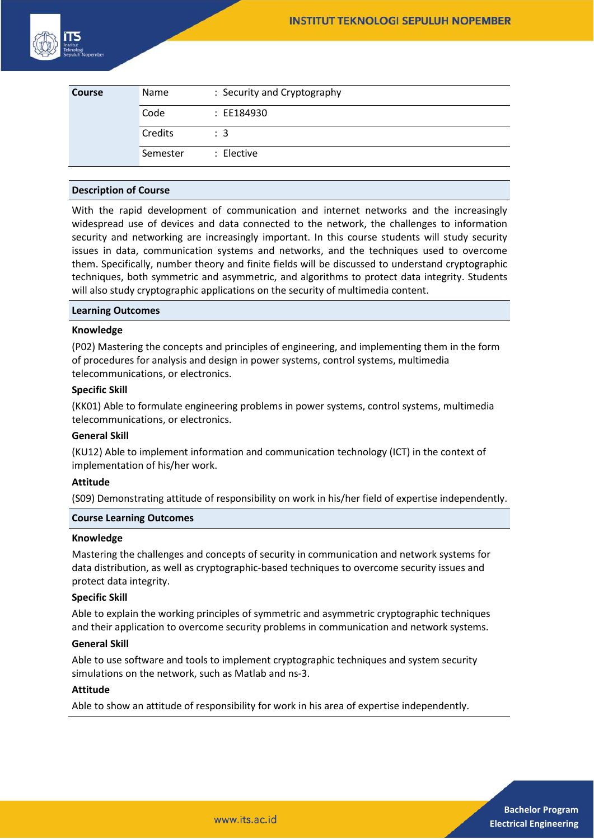

| <b>Course</b> | Name     | : Security and Cryptography |
|---------------|----------|-----------------------------|
|               | Code     | : EE184930                  |
|               | Credits  | : 3                         |
|               | Semester | : Elective                  |

## **Description of Course**

With the rapid development of communication and internet networks and the increasingly widespread use of devices and data connected to the network, the challenges to information security and networking are increasingly important. In this course students will study security issues in data, communication systems and networks, and the techniques used to overcome them. Specifically, number theory and finite fields will be discussed to understand cryptographic techniques, both symmetric and asymmetric, and algorithms to protect data integrity. Students will also study cryptographic applications on the security of multimedia content.

#### **Learning Outcomes**

#### **Knowledge**

(P02) Mastering the concepts and principles of engineering, and implementing them in the form of procedures for analysis and design in power systems, control systems, multimedia telecommunications, or electronics.

## **Specific Skill**

(KK01) Able to formulate engineering problems in power systems, control systems, multimedia telecommunications, or electronics.

## **General Skill**

(KU12) Able to implement information and communication technology (ICT) in the context of implementation of his/her work.

## **Attitude**

(S09) Demonstrating attitude of responsibility on work in his/her field of expertise independently.

#### **Course Learning Outcomes**

### **Knowledge**

Mastering the challenges and concepts of security in communication and network systems for data distribution, as well as cryptographic-based techniques to overcome security issues and protect data integrity.

#### **Specific Skill**

Able to explain the working principles of symmetric and asymmetric cryptographic techniques and their application to overcome security problems in communication and network systems.

#### **General Skill**

Able to use software and tools to implement cryptographic techniques and system security simulations on the network, such as Matlab and ns-3.

#### **Attitude**

Able to show an attitude of responsibility for work in his area of expertise independently.